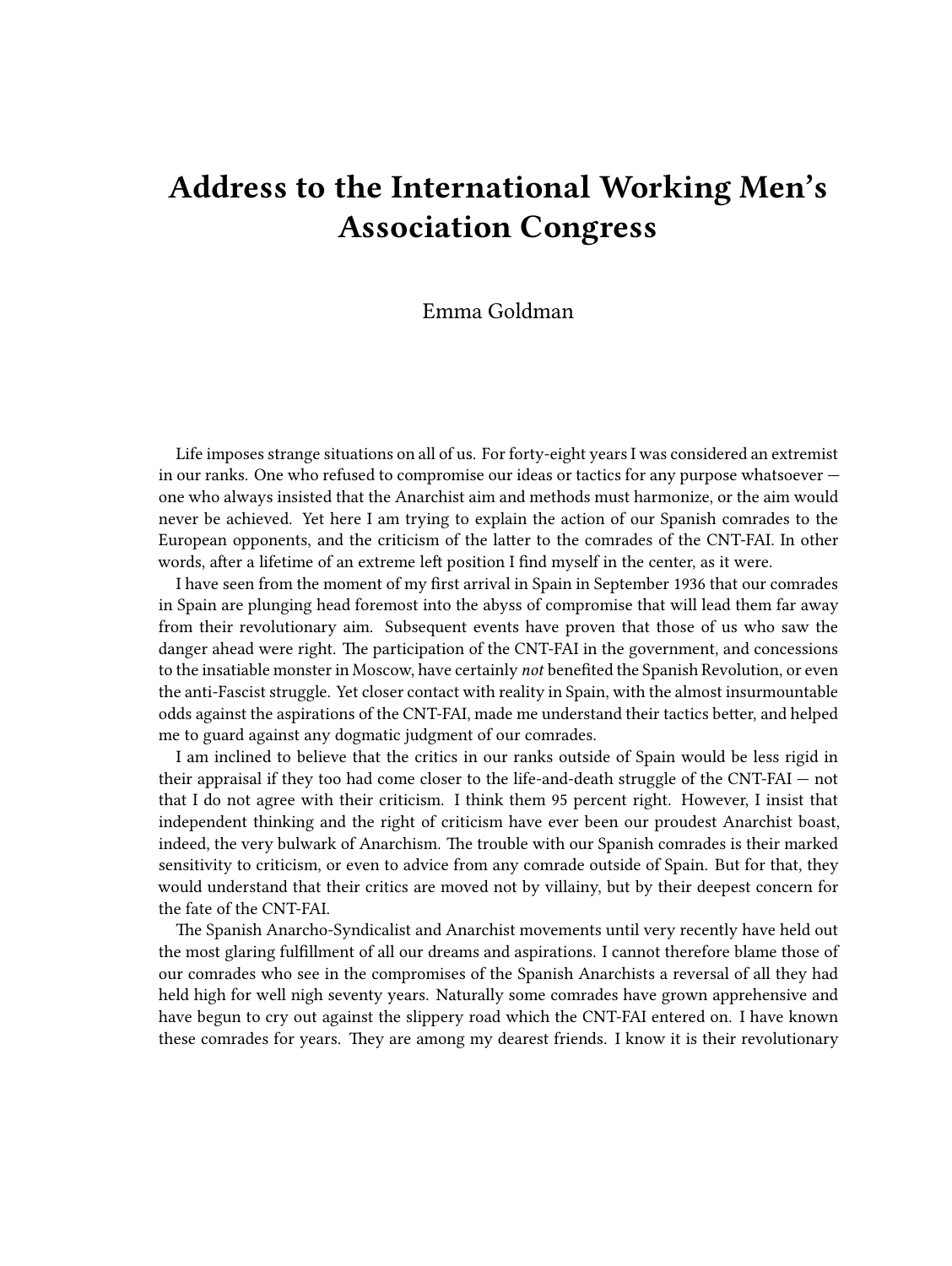## **Address to the International Working Men's Association Congress**

## Emma Goldman

Life imposes strange situations on all of us. For forty-eight years I was considered an extremist in our ranks. One who refused to compromise our ideas or tactics for any purpose whatsoever one who always insisted that the Anarchist aim and methods must harmonize, or the aim would never be achieved. Yet here I am trying to explain the action of our Spanish comrades to the European opponents, and the criticism of the latter to the comrades of the CNT-FAI. In other words, after a lifetime of an extreme left position I find myself in the center, as it were.

I have seen from the moment of my first arrival in Spain in September 1936 that our comrades in Spain are plunging head foremost into the abyss of compromise that will lead them far away from their revolutionary aim. Subsequent events have proven that those of us who saw the danger ahead were right. The participation of the CNT-FAI in the government, and concessions to the insatiable monster in Moscow, have certainly *not* benefited the Spanish Revolution, or even the anti-Fascist struggle. Yet closer contact with reality in Spain, with the almost insurmountable odds against the aspirations of the CNT-FAI, made me understand their tactics better, and helped me to guard against any dogmatic judgment of our comrades.

I am inclined to believe that the critics in our ranks outside of Spain would be less rigid in their appraisal if they too had come closer to the life-and-death struggle of the CNT-FAI — not that I do not agree with their criticism. I think them 95 percent right. However, I insist that independent thinking and the right of criticism have ever been our proudest Anarchist boast, indeed, the very bulwark of Anarchism. The trouble with our Spanish comrades is their marked sensitivity to criticism, or even to advice from any comrade outside of Spain. But for that, they would understand that their critics are moved not by villainy, but by their deepest concern for the fate of the CNT-FAI.

The Spanish Anarcho-Syndicalist and Anarchist movements until very recently have held out the most glaring fulfillment of all our dreams and aspirations. I cannot therefore blame those of our comrades who see in the compromises of the Spanish Anarchists a reversal of all they had held high for well nigh seventy years. Naturally some comrades have grown apprehensive and have begun to cry out against the slippery road which the CNT-FAI entered on. I have known these comrades for years. They are among my dearest friends. I know it is their revolutionary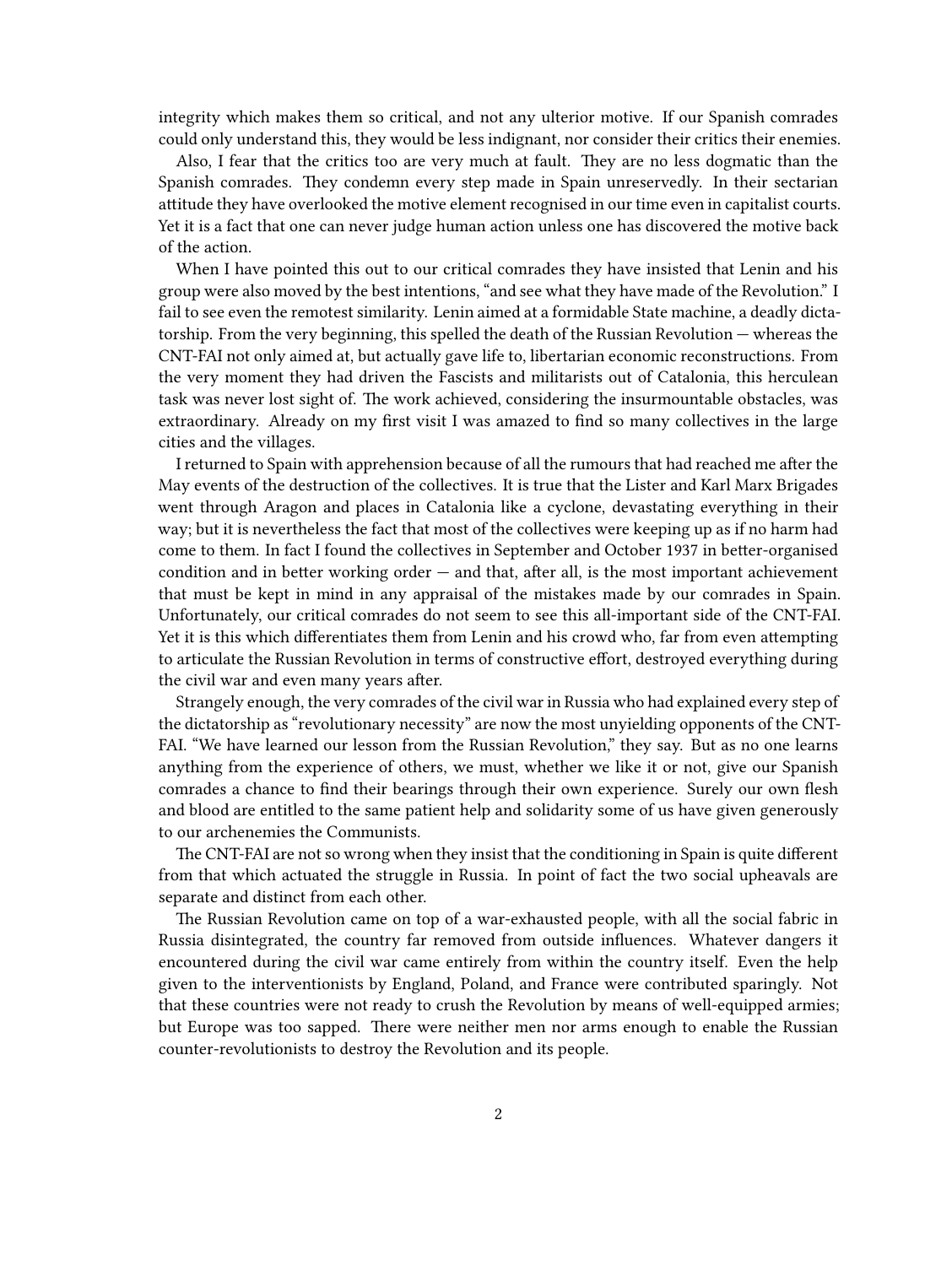integrity which makes them so critical, and not any ulterior motive. If our Spanish comrades could only understand this, they would be less indignant, nor consider their critics their enemies.

Also, I fear that the critics too are very much at fault. They are no less dogmatic than the Spanish comrades. They condemn every step made in Spain unreservedly. In their sectarian attitude they have overlooked the motive element recognised in our time even in capitalist courts. Yet it is a fact that one can never judge human action unless one has discovered the motive back of the action.

When I have pointed this out to our critical comrades they have insisted that Lenin and his group were also moved by the best intentions, "and see what they have made of the Revolution." I fail to see even the remotest similarity. Lenin aimed at a formidable State machine, a deadly dictatorship. From the very beginning, this spelled the death of the Russian Revolution — whereas the CNT-FAI not only aimed at, but actually gave life to, libertarian economic reconstructions. From the very moment they had driven the Fascists and militarists out of Catalonia, this herculean task was never lost sight of. The work achieved, considering the insurmountable obstacles, was extraordinary. Already on my first visit I was amazed to find so many collectives in the large cities and the villages.

I returned to Spain with apprehension because of all the rumours that had reached me after the May events of the destruction of the collectives. It is true that the Lister and Karl Marx Brigades went through Aragon and places in Catalonia like a cyclone, devastating everything in their way; but it is nevertheless the fact that most of the collectives were keeping up as if no harm had come to them. In fact I found the collectives in September and October 1937 in better-organised condition and in better working order — and that, after all, is the most important achievement that must be kept in mind in any appraisal of the mistakes made by our comrades in Spain. Unfortunately, our critical comrades do not seem to see this all-important side of the CNT-FAI. Yet it is this which differentiates them from Lenin and his crowd who, far from even attempting to articulate the Russian Revolution in terms of constructive effort, destroyed everything during the civil war and even many years after.

Strangely enough, the very comrades of the civil war in Russia who had explained every step of the dictatorship as "revolutionary necessity" are now the most unyielding opponents of the CNT-FAI. "We have learned our lesson from the Russian Revolution," they say. But as no one learns anything from the experience of others, we must, whether we like it or not, give our Spanish comrades a chance to find their bearings through their own experience. Surely our own flesh and blood are entitled to the same patient help and solidarity some of us have given generously to our archenemies the Communists.

The CNT-FAI are not so wrong when they insist that the conditioning in Spain is quite different from that which actuated the struggle in Russia. In point of fact the two social upheavals are separate and distinct from each other.

The Russian Revolution came on top of a war-exhausted people, with all the social fabric in Russia disintegrated, the country far removed from outside influences. Whatever dangers it encountered during the civil war came entirely from within the country itself. Even the help given to the interventionists by England, Poland, and France were contributed sparingly. Not that these countries were not ready to crush the Revolution by means of well-equipped armies; but Europe was too sapped. There were neither men nor arms enough to enable the Russian counter-revolutionists to destroy the Revolution and its people.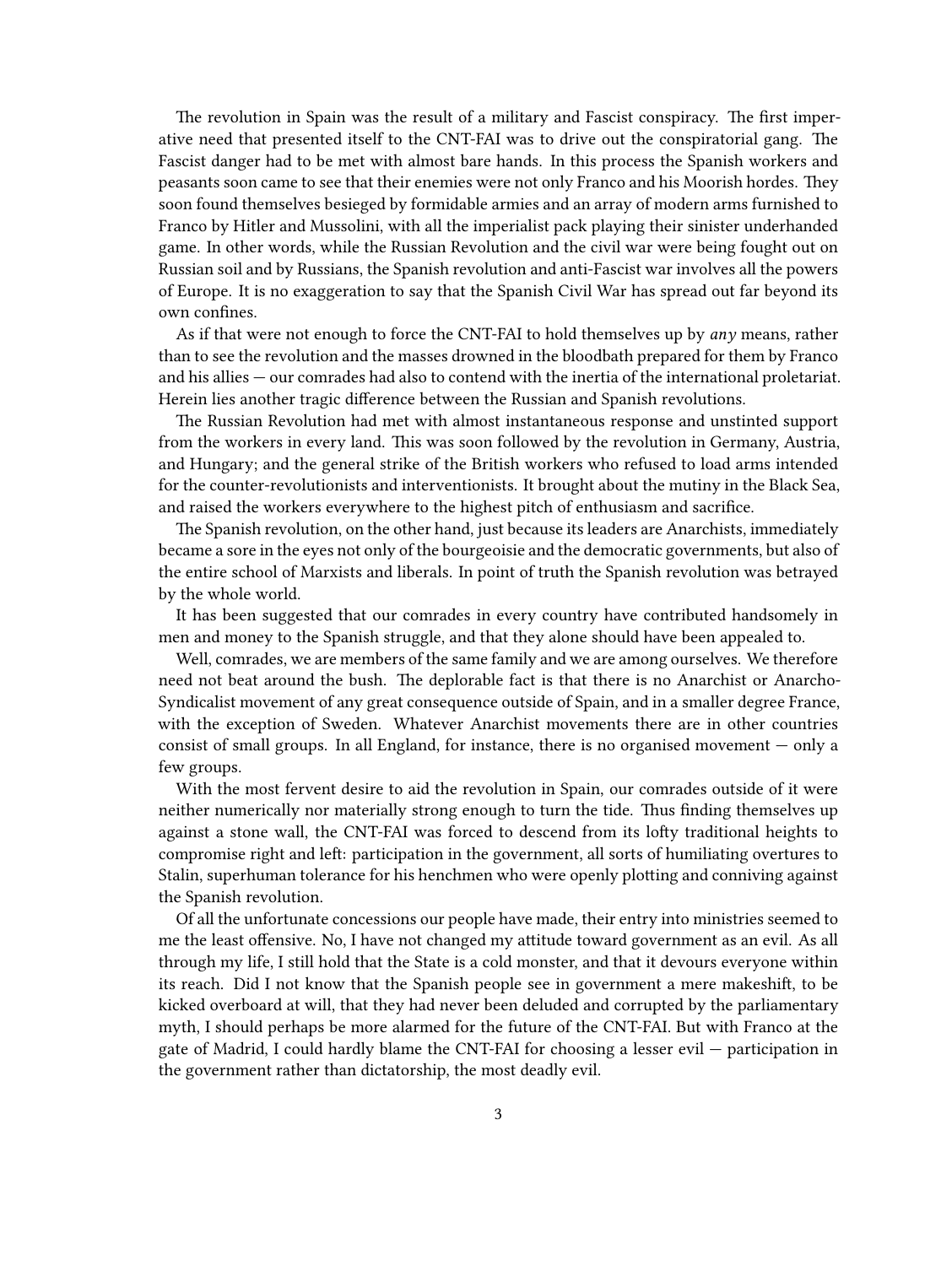The revolution in Spain was the result of a military and Fascist conspiracy. The first imperative need that presented itself to the CNT-FAI was to drive out the conspiratorial gang. The Fascist danger had to be met with almost bare hands. In this process the Spanish workers and peasants soon came to see that their enemies were not only Franco and his Moorish hordes. They soon found themselves besieged by formidable armies and an array of modern arms furnished to Franco by Hitler and Mussolini, with all the imperialist pack playing their sinister underhanded game. In other words, while the Russian Revolution and the civil war were being fought out on Russian soil and by Russians, the Spanish revolution and anti-Fascist war involves all the powers of Europe. It is no exaggeration to say that the Spanish Civil War has spread out far beyond its own confines.

As if that were not enough to force the CNT-FAI to hold themselves up by *any* means, rather than to see the revolution and the masses drowned in the bloodbath prepared for them by Franco and his allies — our comrades had also to contend with the inertia of the international proletariat. Herein lies another tragic difference between the Russian and Spanish revolutions.

The Russian Revolution had met with almost instantaneous response and unstinted support from the workers in every land. This was soon followed by the revolution in Germany, Austria, and Hungary; and the general strike of the British workers who refused to load arms intended for the counter-revolutionists and interventionists. It brought about the mutiny in the Black Sea, and raised the workers everywhere to the highest pitch of enthusiasm and sacrifice.

The Spanish revolution, on the other hand, just because its leaders are Anarchists, immediately became a sore in the eyes not only of the bourgeoisie and the democratic governments, but also of the entire school of Marxists and liberals. In point of truth the Spanish revolution was betrayed by the whole world.

It has been suggested that our comrades in every country have contributed handsomely in men and money to the Spanish struggle, and that they alone should have been appealed to.

Well, comrades, we are members of the same family and we are among ourselves. We therefore need not beat around the bush. The deplorable fact is that there is no Anarchist or Anarcho-Syndicalist movement of any great consequence outside of Spain, and in a smaller degree France, with the exception of Sweden. Whatever Anarchist movements there are in other countries consist of small groups. In all England, for instance, there is no organised movement — only a few groups.

With the most fervent desire to aid the revolution in Spain, our comrades outside of it were neither numerically nor materially strong enough to turn the tide. Thus finding themselves up against a stone wall, the CNT-FAI was forced to descend from its lofty traditional heights to compromise right and left: participation in the government, all sorts of humiliating overtures to Stalin, superhuman tolerance for his henchmen who were openly plotting and conniving against the Spanish revolution.

Of all the unfortunate concessions our people have made, their entry into ministries seemed to me the least offensive. No, I have not changed my attitude toward government as an evil. As all through my life, I still hold that the State is a cold monster, and that it devours everyone within its reach. Did I not know that the Spanish people see in government a mere makeshift, to be kicked overboard at will, that they had never been deluded and corrupted by the parliamentary myth, I should perhaps be more alarmed for the future of the CNT-FAI. But with Franco at the gate of Madrid, I could hardly blame the CNT-FAI for choosing a lesser evil — participation in the government rather than dictatorship, the most deadly evil.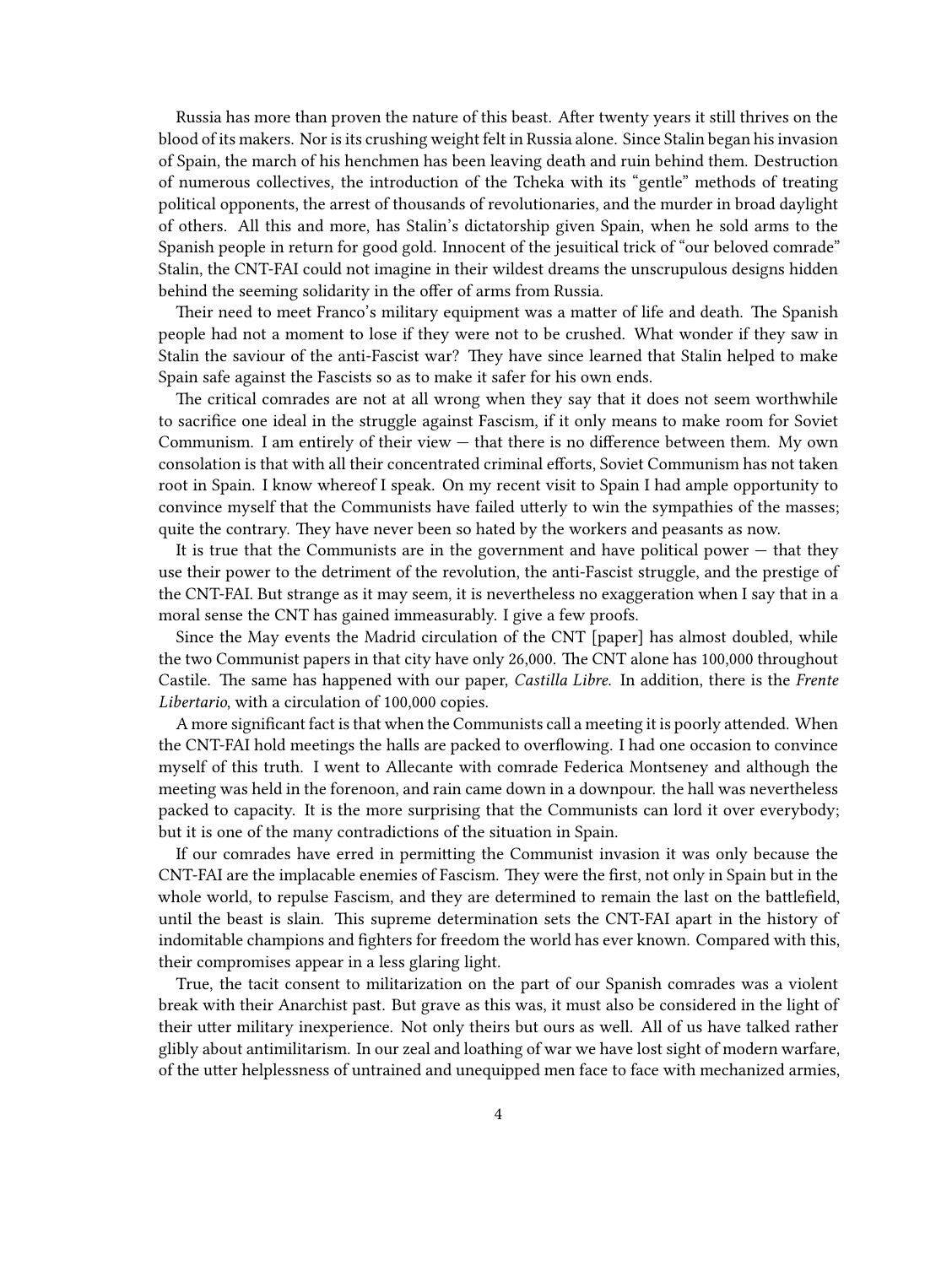Russia has more than proven the nature of this beast. After twenty years it still thrives on the blood of its makers. Nor is its crushing weight felt in Russia alone. Since Stalin began his invasion of Spain, the march of his henchmen has been leaving death and ruin behind them. Destruction of numerous collectives, the introduction of the Tcheka with its "gentle" methods of treating political opponents, the arrest of thousands of revolutionaries, and the murder in broad daylight of others. All this and more, has Stalin's dictatorship given Spain, when he sold arms to the Spanish people in return for good gold. Innocent of the jesuitical trick of "our beloved comrade" Stalin, the CNT-FAI could not imagine in their wildest dreams the unscrupulous designs hidden behind the seeming solidarity in the offer of arms from Russia.

Their need to meet Franco's military equipment was a matter of life and death. The Spanish people had not a moment to lose if they were not to be crushed. What wonder if they saw in Stalin the saviour of the anti-Fascist war? They have since learned that Stalin helped to make Spain safe against the Fascists so as to make it safer for his own ends.

The critical comrades are not at all wrong when they say that it does not seem worthwhile to sacrifice one ideal in the struggle against Fascism, if it only means to make room for Soviet Communism. I am entirely of their view — that there is no difference between them. My own consolation is that with all their concentrated criminal efforts, Soviet Communism has not taken root in Spain. I know whereof I speak. On my recent visit to Spain I had ample opportunity to convince myself that the Communists have failed utterly to win the sympathies of the masses; quite the contrary. They have never been so hated by the workers and peasants as now.

It is true that the Communists are in the government and have political power — that they use their power to the detriment of the revolution, the anti-Fascist struggle, and the prestige of the CNT-FAI. But strange as it may seem, it is nevertheless no exaggeration when I say that in a moral sense the CNT has gained immeasurably. I give a few proofs.

Since the May events the Madrid circulation of the CNT [paper] has almost doubled, while the two Communist papers in that city have only 26,000. The CNT alone has 100,000 throughout Castile. The same has happened with our paper, *Castilla Libre*. In addition, there is the *Frente Libertario*, with a circulation of 100,000 copies.

A more significant fact is that when the Communists call a meeting it is poorly attended. When the CNT-FAI hold meetings the halls are packed to overflowing. I had one occasion to convince myself of this truth. I went to Allecante with comrade Federica Montseney and although the meeting was held in the forenoon, and rain came down in a downpour. the hall was nevertheless packed to capacity. It is the more surprising that the Communists can lord it over everybody; but it is one of the many contradictions of the situation in Spain.

If our comrades have erred in permitting the Communist invasion it was only because the CNT-FAI are the implacable enemies of Fascism. They were the first, not only in Spain but in the whole world, to repulse Fascism, and they are determined to remain the last on the battlefield, until the beast is slain. This supreme determination sets the CNT-FAI apart in the history of indomitable champions and fighters for freedom the world has ever known. Compared with this, their compromises appear in a less glaring light.

True, the tacit consent to militarization on the part of our Spanish comrades was a violent break with their Anarchist past. But grave as this was, it must also be considered in the light of their utter military inexperience. Not only theirs but ours as well. All of us have talked rather glibly about antimilitarism. In our zeal and loathing of war we have lost sight of modern warfare, of the utter helplessness of untrained and unequipped men face to face with mechanized armies,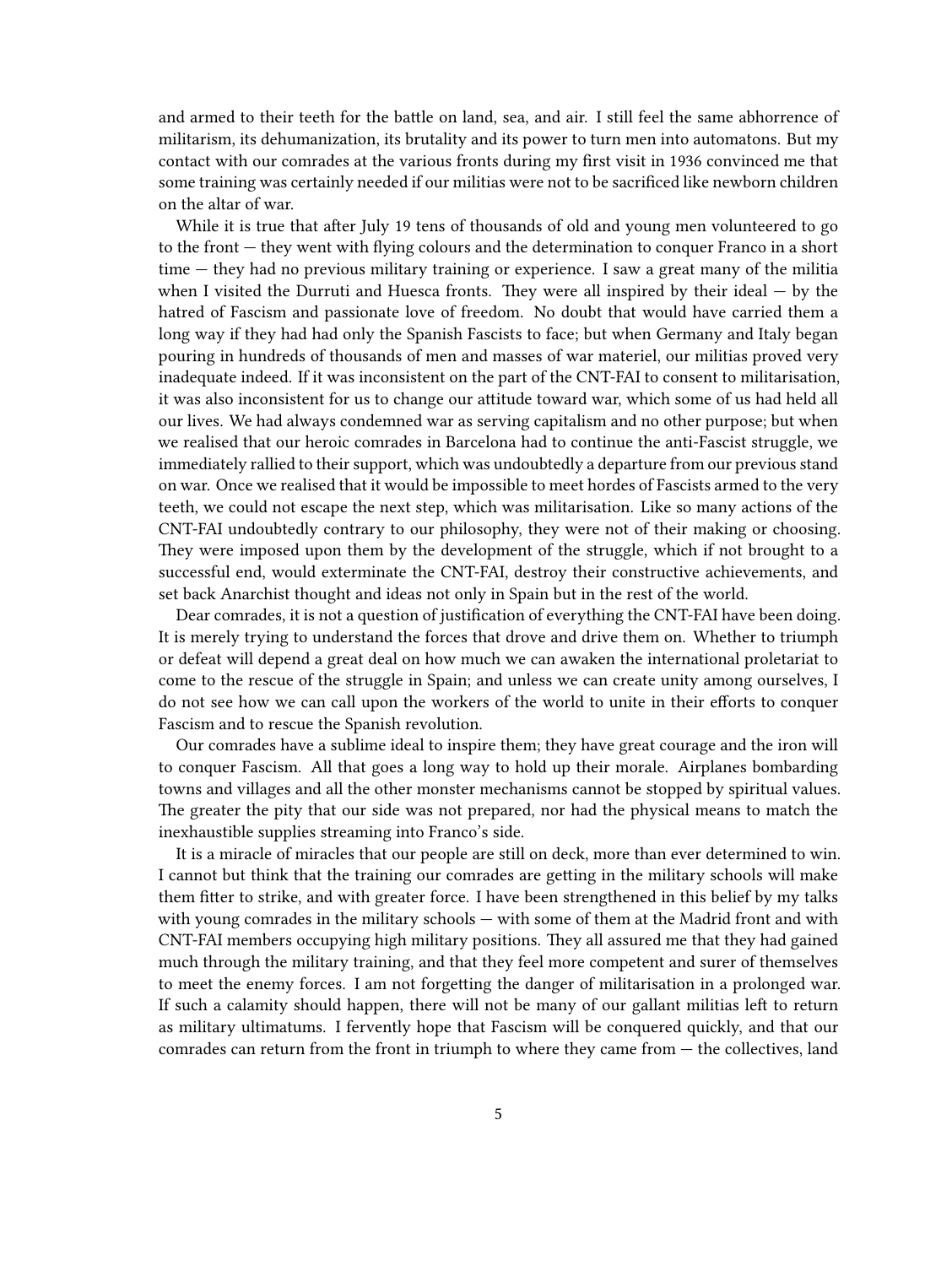and armed to their teeth for the battle on land, sea, and air. I still feel the same abhorrence of militarism, its dehumanization, its brutality and its power to turn men into automatons. But my contact with our comrades at the various fronts during my first visit in 1936 convinced me that some training was certainly needed if our militias were not to be sacrificed like newborn children on the altar of war.

While it is true that after July 19 tens of thousands of old and young men volunteered to go to the front — they went with flying colours and the determination to conquer Franco in a short time — they had no previous military training or experience. I saw a great many of the militia when I visited the Durruti and Huesca fronts. They were all inspired by their ideal  $-$  by the hatred of Fascism and passionate love of freedom. No doubt that would have carried them a long way if they had had only the Spanish Fascists to face; but when Germany and Italy began pouring in hundreds of thousands of men and masses of war materiel, our militias proved very inadequate indeed. If it was inconsistent on the part of the CNT-FAI to consent to militarisation, it was also inconsistent for us to change our attitude toward war, which some of us had held all our lives. We had always condemned war as serving capitalism and no other purpose; but when we realised that our heroic comrades in Barcelona had to continue the anti-Fascist struggle, we immediately rallied to their support, which was undoubtedly a departure from our previous stand on war. Once we realised that it would be impossible to meet hordes of Fascists armed to the very teeth, we could not escape the next step, which was militarisation. Like so many actions of the CNT-FAI undoubtedly contrary to our philosophy, they were not of their making or choosing. They were imposed upon them by the development of the struggle, which if not brought to a successful end, would exterminate the CNT-FAI, destroy their constructive achievements, and set back Anarchist thought and ideas not only in Spain but in the rest of the world.

Dear comrades, it is not a question of justification of everything the CNT-FAI have been doing. It is merely trying to understand the forces that drove and drive them on. Whether to triumph or defeat will depend a great deal on how much we can awaken the international proletariat to come to the rescue of the struggle in Spain; and unless we can create unity among ourselves, I do not see how we can call upon the workers of the world to unite in their efforts to conquer Fascism and to rescue the Spanish revolution.

Our comrades have a sublime ideal to inspire them; they have great courage and the iron will to conquer Fascism. All that goes a long way to hold up their morale. Airplanes bombarding towns and villages and all the other monster mechanisms cannot be stopped by spiritual values. The greater the pity that our side was not prepared, nor had the physical means to match the inexhaustible supplies streaming into Franco's side.

It is a miracle of miracles that our people are still on deck, more than ever determined to win. I cannot but think that the training our comrades are getting in the military schools will make them fitter to strike, and with greater force. I have been strengthened in this belief by my talks with young comrades in the military schools — with some of them at the Madrid front and with CNT-FAI members occupying high military positions. They all assured me that they had gained much through the military training, and that they feel more competent and surer of themselves to meet the enemy forces. I am not forgetting the danger of militarisation in a prolonged war. If such a calamity should happen, there will not be many of our gallant militias left to return as military ultimatums. I fervently hope that Fascism will be conquered quickly, and that our comrades can return from the front in triumph to where they came from — the collectives, land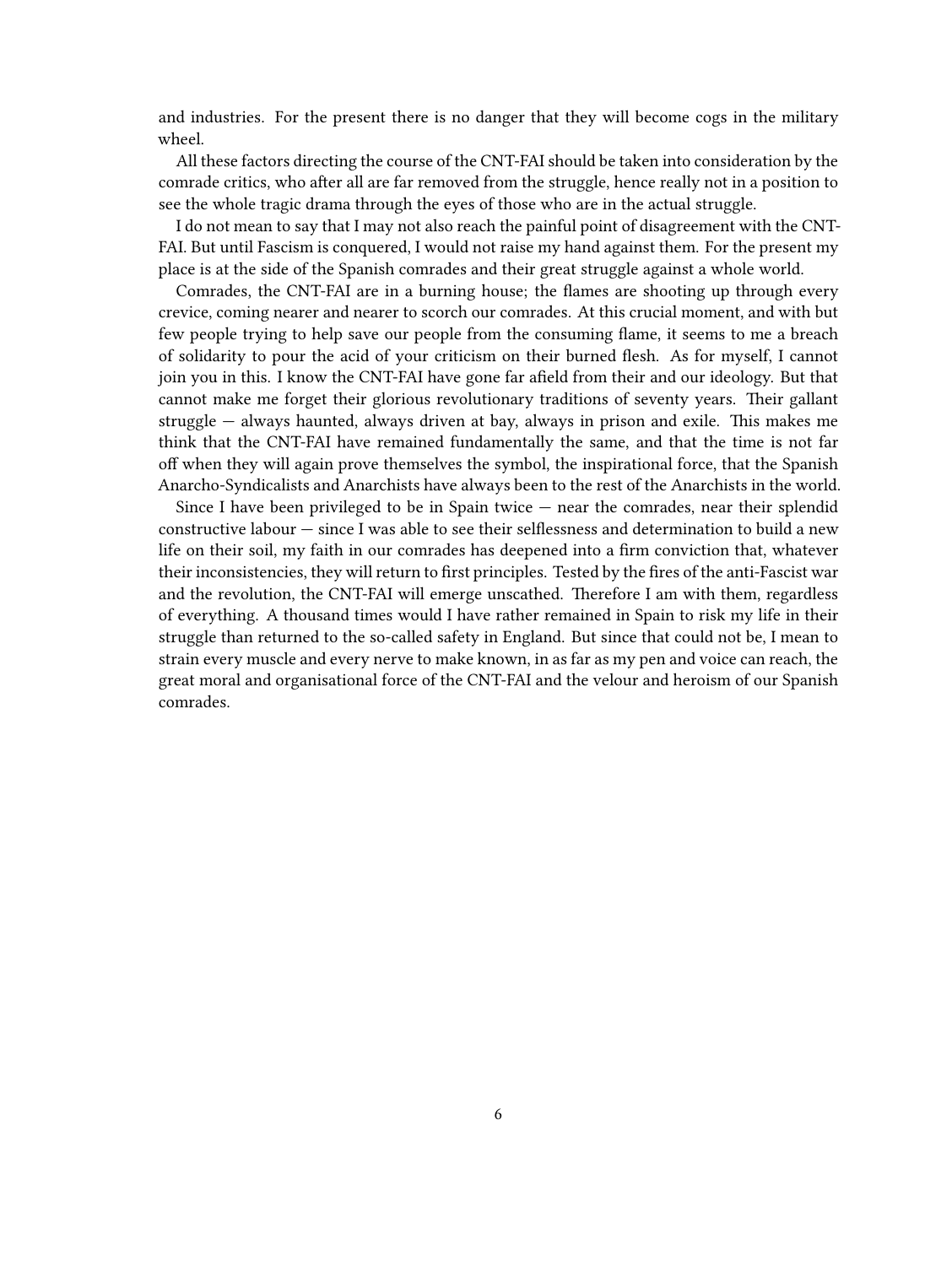and industries. For the present there is no danger that they will become cogs in the military wheel.

All these factors directing the course of the CNT-FAI should be taken into consideration by the comrade critics, who after all are far removed from the struggle, hence really not in a position to see the whole tragic drama through the eyes of those who are in the actual struggle.

I do not mean to say that I may not also reach the painful point of disagreement with the CNT-FAI. But until Fascism is conquered, I would not raise my hand against them. For the present my place is at the side of the Spanish comrades and their great struggle against a whole world.

Comrades, the CNT-FAI are in a burning house; the flames are shooting up through every crevice, coming nearer and nearer to scorch our comrades. At this crucial moment, and with but few people trying to help save our people from the consuming flame, it seems to me a breach of solidarity to pour the acid of your criticism on their burned flesh. As for myself, I cannot join you in this. I know the CNT-FAI have gone far afield from their and our ideology. But that cannot make me forget their glorious revolutionary traditions of seventy years. Their gallant struggle — always haunted, always driven at bay, always in prison and exile. This makes me think that the CNT-FAI have remained fundamentally the same, and that the time is not far off when they will again prove themselves the symbol, the inspirational force, that the Spanish Anarcho-Syndicalists and Anarchists have always been to the rest of the Anarchists in the world.

Since I have been privileged to be in Spain twice — near the comrades, near their splendid constructive labour — since I was able to see their selflessness and determination to build a new life on their soil, my faith in our comrades has deepened into a firm conviction that, whatever their inconsistencies, they will return to first principles. Tested by the fires of the anti-Fascist war and the revolution, the CNT-FAI will emerge unscathed. Therefore I am with them, regardless of everything. A thousand times would I have rather remained in Spain to risk my life in their struggle than returned to the so-called safety in England. But since that could not be, I mean to strain every muscle and every nerve to make known, in as far as my pen and voice can reach, the great moral and organisational force of the CNT-FAI and the velour and heroism of our Spanish comrades.